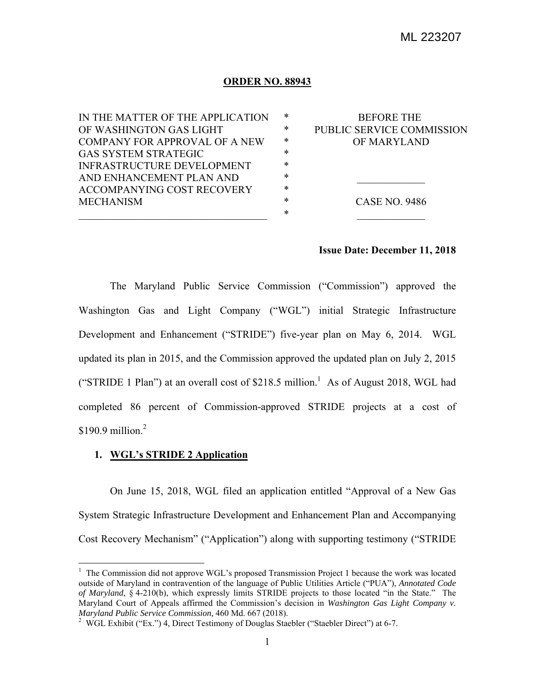## **ORDER NO. 88943**

| IN THE MATTER OF THE APPLICATION     | ∗      | <b>BEFORE THE</b>         |
|--------------------------------------|--------|---------------------------|
| OF WASHINGTON GAS LIGHT              | *      | PUBLIC SERVICE COMMISSION |
| <b>COMPANY FOR APPROVAL OF A NEW</b> | ∗      | OF MARYLAND               |
| <b>GAS SYSTEM STRATEGIC</b>          | *      |                           |
| <b>INFRASTRUCTURE DEVELOPMENT</b>    | $\ast$ |                           |
| AND ENHANCEMENT PLAN AND             | *      |                           |
| <b>ACCOMPANYING COST RECOVERY</b>    | *      |                           |
| <b>MECHANISM</b>                     | *      | <b>CASE NO. 9486</b>      |
|                                      | *      |                           |
|                                      |        |                           |

## **Issue Date: December 11, 2018**

 The Maryland Public Service Commission ("Commission") approved the Washington Gas and Light Company ("WGL") initial Strategic Infrastructure Development and Enhancement ("STRIDE") five-year plan on May 6, 2014. WGL updated its plan in 2015, and the Commission approved the updated plan on July 2, 2015 ("STRIDE 1 Plan") at an overall cost of \$218.5 million.<sup>1</sup> As of August 2018, WGL had completed 86 percent of Commission-approved STRIDE projects at a cost of  $$190.9$  million.<sup>2</sup>

## **1. WGL's STRIDE 2 Application**

 $\overline{a}$ 

 On June 15, 2018, WGL filed an application entitled "Approval of a New Gas System Strategic Infrastructure Development and Enhancement Plan and Accompanying Cost Recovery Mechanism" ("Application") along with supporting testimony ("STRIDE

<sup>&</sup>lt;sup>1</sup> The Commission did not approve WGL's proposed Transmission Project 1 because the work was located outside of Maryland in contravention of the language of Public Utilities Article ("PUA"), *Annotated Code of Maryland*, § 4-210(b), which expressly limits STRIDE projects to those located "in the State." The Maryland Court of Appeals affirmed the Commission's decision in *Washington Gas Light Company v. Maryland Public Service Commission,* 460 Md. 667 (2018). 2

<sup>&</sup>lt;sup>2</sup> WGL Exhibit ("Ex.") 4, Direct Testimony of Douglas Staebler ("Staebler Direct") at 6-7.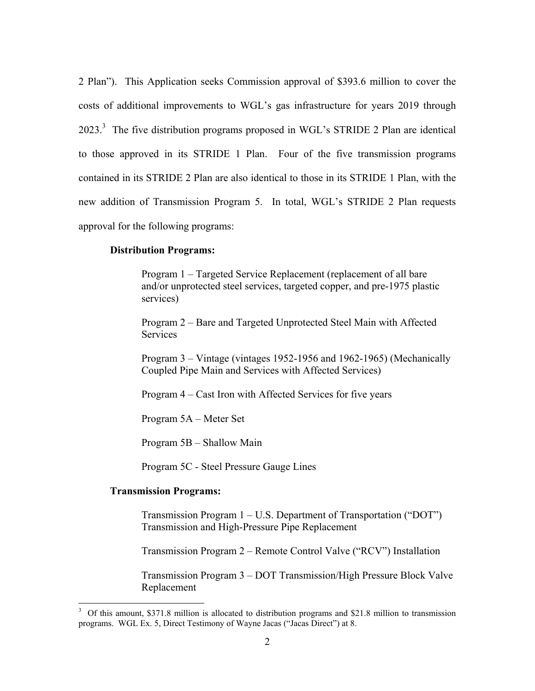2 Plan"). This Application seeks Commission approval of \$393.6 million to cover the costs of additional improvements to WGL's gas infrastructure for years 2019 through  $2023$ <sup>3</sup> The five distribution programs proposed in WGL's STRIDE 2 Plan are identical to those approved in its STRIDE 1 Plan. Four of the five transmission programs contained in its STRIDE 2 Plan are also identical to those in its STRIDE 1 Plan, with the new addition of Transmission Program 5. In total, WGL's STRIDE 2 Plan requests approval for the following programs:

#### **Distribution Programs:**

Program 1 – Targeted Service Replacement (replacement of all bare and/or unprotected steel services, targeted copper, and pre-1975 plastic services)

Program 2 – Bare and Targeted Unprotected Steel Main with Affected **Services** 

Program 3 – Vintage (vintages 1952-1956 and 1962-1965) (Mechanically Coupled Pipe Main and Services with Affected Services)

Program 4 – Cast Iron with Affected Services for five years

Program 5A – Meter Set

Program 5B – Shallow Main

Program 5C - Steel Pressure Gauge Lines

## **Transmission Programs:**

 $\overline{a}$ 

Transmission Program 1 – U.S. Department of Transportation ("DOT") Transmission and High-Pressure Pipe Replacement

Transmission Program 2 – Remote Control Valve ("RCV") Installation

Transmission Program 3 – DOT Transmission/High Pressure Block Valve Replacement

<sup>&</sup>lt;sup>3</sup> Of this amount, \$371.8 million is allocated to distribution programs and \$21.8 million to transmission programs. WGL Ex. 5, Direct Testimony of Wayne Jacas ("Jacas Direct") at 8.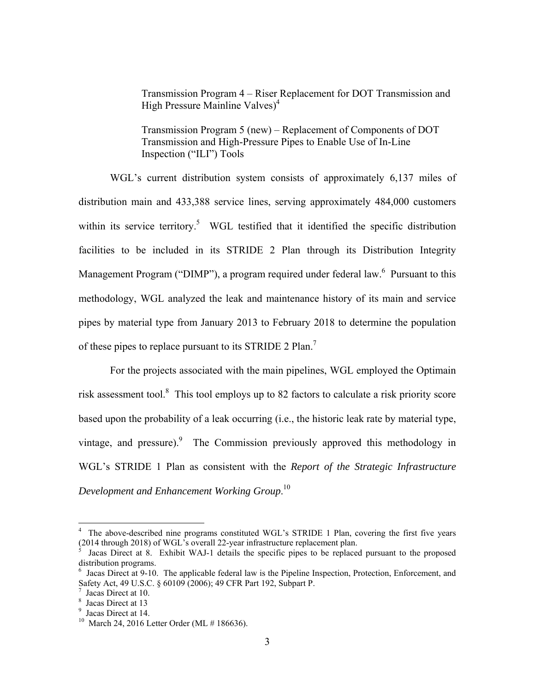Transmission Program 4 – Riser Replacement for DOT Transmission and High Pressure Mainline Valves)<sup>4</sup>

Transmission Program 5 (new) – Replacement of Components of DOT Transmission and High-Pressure Pipes to Enable Use of In-Line Inspection ("ILI") Tools

 WGL's current distribution system consists of approximately 6,137 miles of distribution main and 433,388 service lines, serving approximately 484,000 customers within its service territory.<sup>5</sup> WGL testified that it identified the specific distribution facilities to be included in its STRIDE 2 Plan through its Distribution Integrity Management Program ("DIMP"), a program required under federal law. <sup>6</sup> Pursuant to this methodology, WGL analyzed the leak and maintenance history of its main and service pipes by material type from January 2013 to February 2018 to determine the population of these pipes to replace pursuant to its STRIDE 2 Plan.<sup>7</sup>

 For the projects associated with the main pipelines, WGL employed the Optimain risk assessment tool.<sup>8</sup> This tool employs up to 82 factors to calculate a risk priority score based upon the probability of a leak occurring (i.e., the historic leak rate by material type, vintage, and pressure). The Commission previously approved this methodology in WGL's STRIDE 1 Plan as consistent with the *Report of the Strategic Infrastructure Development and Enhancement Working Group*. 10

<sup>4</sup> The above-described nine programs constituted WGL's STRIDE 1 Plan, covering the first five years (2014 through 2018) of WGL's overall 22-year infrastructure replacement plan. 5

Jacas Direct at 8. Exhibit WAJ-1 details the specific pipes to be replaced pursuant to the proposed distribution programs.

<sup>6</sup> Jacas Direct at 9-10. The applicable federal law is the Pipeline Inspection, Protection, Enforcement, and Safety Act, 49 U.S.C. § 60109 (2006); 49 CFR Part 192, Subpart P. 7

Jacas Direct at 10.

<sup>8</sup> Jacas Direct at 13

<sup>&</sup>lt;sup>9</sup> Jacas Direct at 14.

<sup>&</sup>lt;sup>10</sup> March 24, 2016 Letter Order (ML # 186636).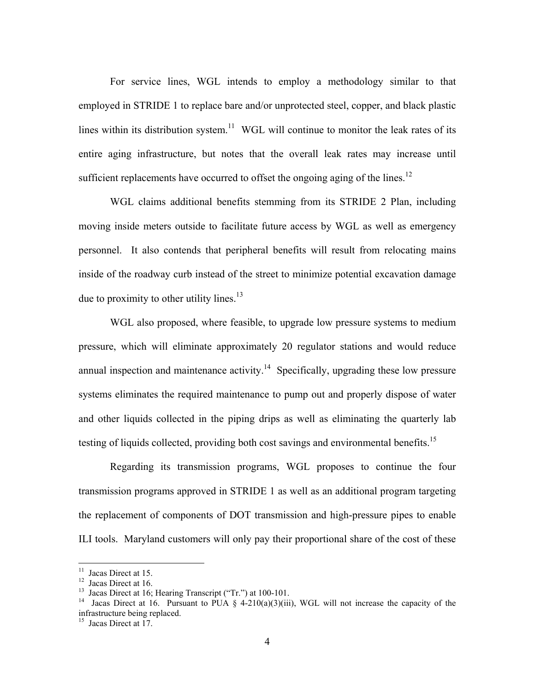For service lines, WGL intends to employ a methodology similar to that employed in STRIDE 1 to replace bare and/or unprotected steel, copper, and black plastic lines within its distribution system.<sup>11</sup> WGL will continue to monitor the leak rates of its entire aging infrastructure, but notes that the overall leak rates may increase until sufficient replacements have occurred to offset the ongoing aging of the lines.<sup>12</sup>

 WGL claims additional benefits stemming from its STRIDE 2 Plan, including moving inside meters outside to facilitate future access by WGL as well as emergency personnel. It also contends that peripheral benefits will result from relocating mains inside of the roadway curb instead of the street to minimize potential excavation damage due to proximity to other utility lines.<sup>13</sup>

 WGL also proposed, where feasible, to upgrade low pressure systems to medium pressure, which will eliminate approximately 20 regulator stations and would reduce annual inspection and maintenance activity.<sup>14</sup> Specifically, upgrading these low pressure systems eliminates the required maintenance to pump out and properly dispose of water and other liquids collected in the piping drips as well as eliminating the quarterly lab testing of liquids collected, providing both cost savings and environmental benefits.<sup>15</sup>

 Regarding its transmission programs, WGL proposes to continue the four transmission programs approved in STRIDE 1 as well as an additional program targeting the replacement of components of DOT transmission and high-pressure pipes to enable ILI tools. Maryland customers will only pay their proportional share of the cost of these

<sup>&</sup>lt;sup>11</sup> Jacas Direct at 15.

<sup>&</sup>lt;sup>12</sup> Jacas Direct at 16.<br><sup>13</sup> Jacas Direct at 16; Hearing Transcript ("Tr.") at 100-101.

<sup>&</sup>lt;sup>14</sup> Jacas Direct at 16. Pursuant to PUA § 4-210(a)(3)(iii), WGL will not increase the capacity of the infrastructure being replaced.

<sup>&</sup>lt;sup>15</sup> Jacas Direct at 17.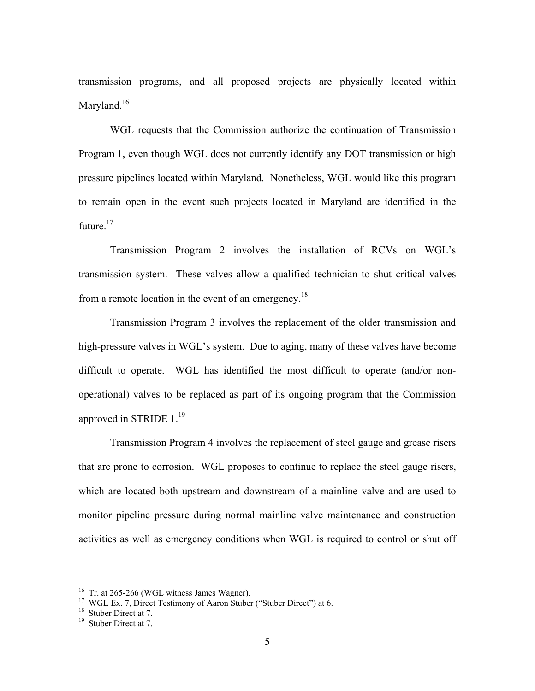transmission programs, and all proposed projects are physically located within Maryland.<sup>16</sup>

 WGL requests that the Commission authorize the continuation of Transmission Program 1, even though WGL does not currently identify any DOT transmission or high pressure pipelines located within Maryland. Nonetheless, WGL would like this program to remain open in the event such projects located in Maryland are identified in the future.<sup>17</sup>

 Transmission Program 2 involves the installation of RCVs on WGL's transmission system. These valves allow a qualified technician to shut critical valves from a remote location in the event of an emergency.<sup>18</sup>

 Transmission Program 3 involves the replacement of the older transmission and high-pressure valves in WGL's system. Due to aging, many of these valves have become difficult to operate. WGL has identified the most difficult to operate (and/or nonoperational) valves to be replaced as part of its ongoing program that the Commission approved in STRIDE  $1.^{19}$ 

 Transmission Program 4 involves the replacement of steel gauge and grease risers that are prone to corrosion. WGL proposes to continue to replace the steel gauge risers, which are located both upstream and downstream of a mainline valve and are used to monitor pipeline pressure during normal mainline valve maintenance and construction activities as well as emergency conditions when WGL is required to control or shut off

<sup>&</sup>lt;sup>16</sup> Tr. at 265-266 (WGL witness James Wagner).

<sup>&</sup>lt;sup>17</sup> WGL Ex. 7, Direct Testimony of Aaron Stuber ("Stuber Direct") at 6.

<sup>&</sup>lt;sup>18</sup> Stuber Direct at 7.

<sup>&</sup>lt;sup>19</sup> Stuber Direct at 7.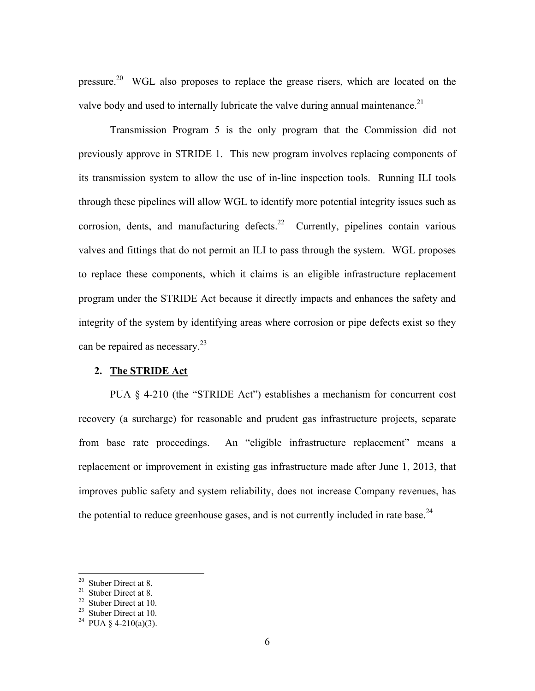pressure.<sup>20</sup> WGL also proposes to replace the grease risers, which are located on the valve body and used to internally lubricate the valve during annual maintenance.<sup>21</sup>

 Transmission Program 5 is the only program that the Commission did not previously approve in STRIDE 1. This new program involves replacing components of its transmission system to allow the use of in-line inspection tools. Running ILI tools through these pipelines will allow WGL to identify more potential integrity issues such as corrosion, dents, and manufacturing defects.<sup>22</sup> Currently, pipelines contain various valves and fittings that do not permit an ILI to pass through the system. WGL proposes to replace these components, which it claims is an eligible infrastructure replacement program under the STRIDE Act because it directly impacts and enhances the safety and integrity of the system by identifying areas where corrosion or pipe defects exist so they can be repaired as necessary.<sup>23</sup>

## **2. The STRIDE Act**

PUA § 4-210 (the "STRIDE Act") establishes a mechanism for concurrent cost recovery (a surcharge) for reasonable and prudent gas infrastructure projects, separate from base rate proceedings. An "eligible infrastructure replacement" means a replacement or improvement in existing gas infrastructure made after June 1, 2013, that improves public safety and system reliability, does not increase Company revenues, has the potential to reduce greenhouse gases, and is not currently included in rate base.  $24$ 

 $20$  Stuber Direct at 8.

<sup>21</sup> Stuber Direct at 8.

<sup>22</sup> Stuber Direct at 10.

 $23$  Stuber Direct at 10.

<sup>&</sup>lt;sup>24</sup> PUA § 4-210(a)(3).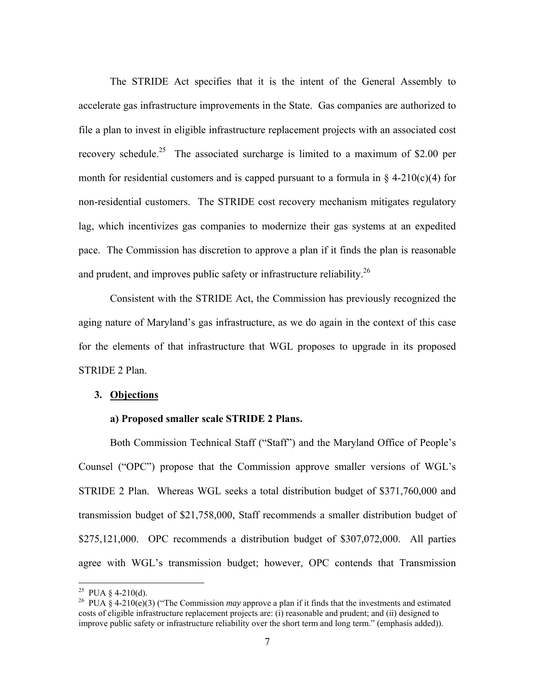The STRIDE Act specifies that it is the intent of the General Assembly to accelerate gas infrastructure improvements in the State. Gas companies are authorized to file a plan to invest in eligible infrastructure replacement projects with an associated cost recovery schedule.<sup>25</sup> The associated surcharge is limited to a maximum of \$2.00 per month for residential customers and is capped pursuant to a formula in  $\S$  4-210(c)(4) for non-residential customers. The STRIDE cost recovery mechanism mitigates regulatory lag, which incentivizes gas companies to modernize their gas systems at an expedited pace. The Commission has discretion to approve a plan if it finds the plan is reasonable and prudent, and improves public safety or infrastructure reliability.  $^{26}$ 

 Consistent with the STRIDE Act, the Commission has previously recognized the aging nature of Maryland's gas infrastructure, as we do again in the context of this case for the elements of that infrastructure that WGL proposes to upgrade in its proposed STRIDE 2 Plan.

#### **3. Objections**

#### **a) Proposed smaller scale STRIDE 2 Plans.**

 Both Commission Technical Staff ("Staff") and the Maryland Office of People's Counsel ("OPC") propose that the Commission approve smaller versions of WGL's STRIDE 2 Plan. Whereas WGL seeks a total distribution budget of \$371,760,000 and transmission budget of \$21,758,000, Staff recommends a smaller distribution budget of \$275,121,000. OPC recommends a distribution budget of \$307,072,000. All parties agree with WGL's transmission budget; however, OPC contends that Transmission

<u>.</u>

<sup>&</sup>lt;sup>25</sup> PUA  $\&$  4-210(d).

<sup>26</sup> PUA § 4-210(e)(3) ("The Commission *may* approve a plan if it finds that the investments and estimated costs of eligible infrastructure replacement projects are: (i) reasonable and prudent; and (ii) designed to improve public safety or infrastructure reliability over the short term and long term." (emphasis added)).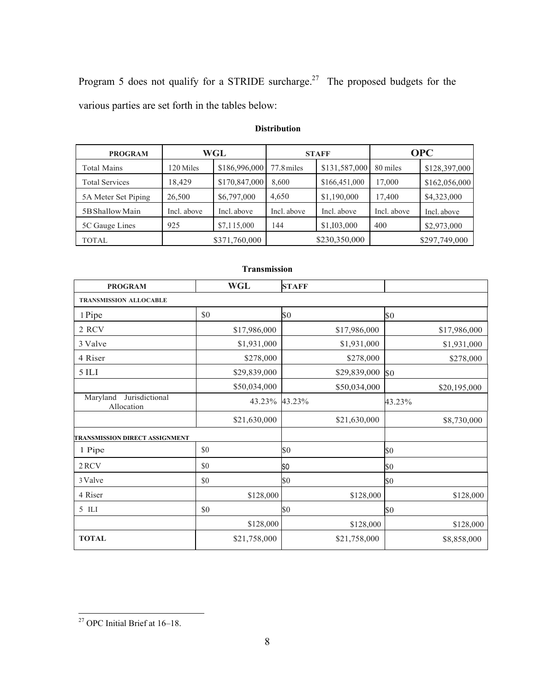Program 5 does not qualify for a STRIDE surcharge.<sup>27</sup> The proposed budgets for the various parties are set forth in the tables below:

| <b>PROGRAM</b>        | WGL         |               | <b>STAFF</b> |               | <b>OPC</b>  |               |
|-----------------------|-------------|---------------|--------------|---------------|-------------|---------------|
| <b>Total Mains</b>    | 120 Miles   | \$186,996,000 | $77.8$ miles | \$131,587,000 | 80 miles    | \$128,397,000 |
| <b>Total Services</b> | 18.429      | \$170,847,000 | 8.600        | \$166,451,000 | 17,000      | \$162,056,000 |
| 5A Meter Set Piping   | 26,500      | \$6,797,000   | 4,650        | \$1,190,000   | 17,400      | \$4,323,000   |
| 5B Shallow Main       | Incl. above | Incl. above   | Incl. above  | Incl. above   | Incl. above | Incl. above   |
| 5C Gauge Lines        | 925         | \$7,115,000   | 144          | \$1,103,000   | 400         | \$2,973,000   |
| <b>TOTAL</b>          |             | \$371,760,000 |              | \$230,350,000 |             | \$297,749,000 |

# **Distribution**

| 1 ганушизмон                             |              |              |              |  |  |  |  |
|------------------------------------------|--------------|--------------|--------------|--|--|--|--|
| <b>PROGRAM</b>                           | <b>WGL</b>   | <b>STAFF</b> |              |  |  |  |  |
| <b>TRANSMISSION ALLOCABLE</b>            |              |              |              |  |  |  |  |
| 1 Pipe                                   | $\$0$        | \$0          | \$0          |  |  |  |  |
| 2 RCV                                    | \$17,986,000 | \$17,986,000 | \$17,986,000 |  |  |  |  |
| 3 Valve                                  | \$1,931,000  | \$1,931,000  | \$1,931,000  |  |  |  |  |
| 4 Riser                                  | \$278,000    | \$278,000    | \$278,000    |  |  |  |  |
| $5$ ILI                                  | \$29,839,000 | \$29,839,000 | \$0          |  |  |  |  |
|                                          | \$50,034,000 | \$50,034,000 | \$20,195,000 |  |  |  |  |
| Jurisdictional<br>Maryland<br>Allocation | 43.23%       | 43.23%       | 43.23%       |  |  |  |  |
|                                          | \$21,630,000 | \$21,630,000 | \$8,730,000  |  |  |  |  |
| TRANSMISSION DIRECT ASSIGNMENT           |              |              |              |  |  |  |  |
| 1 Pipe                                   | \$0          | \$0          | \$0          |  |  |  |  |
| 2RCV                                     | \$0          | SO           | \$0          |  |  |  |  |
| 3 Valve                                  | $\$0$        | \$0          | \$0          |  |  |  |  |
| 4 Riser                                  | \$128,000    | \$128,000    | \$128,000    |  |  |  |  |
| 5 ILI                                    | $\$0$        | \$0          | \$0          |  |  |  |  |
|                                          | \$128,000    | \$128,000    | \$128,000    |  |  |  |  |
| <b>TOTAL</b>                             | \$21,758,000 | \$21,758,000 | \$8,858,000  |  |  |  |  |

# **Transmission**

 $27$  OPC Initial Brief at  $16-18$ .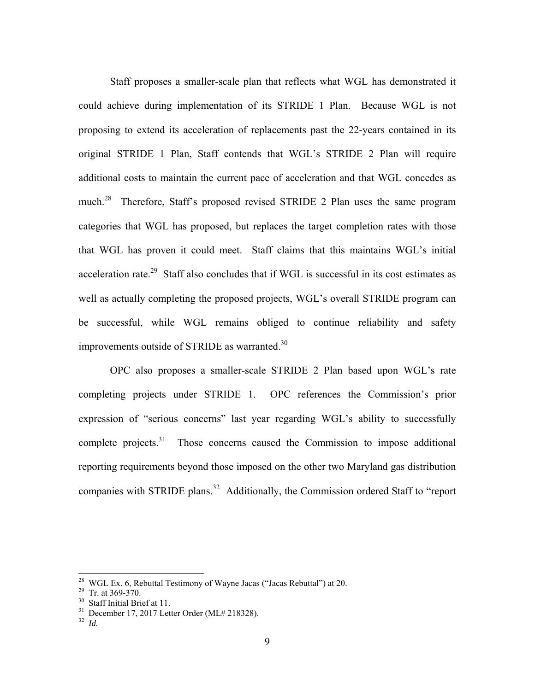Staff proposes a smaller-scale plan that reflects what WGL has demonstrated it could achieve during implementation of its STRIDE 1 Plan. Because WGL is not proposing to extend its acceleration of replacements past the 22-years contained in its original STRIDE 1 Plan, Staff contends that WGL's STRIDE 2 Plan will require additional costs to maintain the current pace of acceleration and that WGL concedes as much.<sup>28</sup> Therefore, Staff's proposed revised STRIDE 2 Plan uses the same program categories that WGL has proposed, but replaces the target completion rates with those that WGL has proven it could meet. Staff claims that this maintains WGL's initial acceleration rate.<sup>29</sup> Staff also concludes that if WGL is successful in its cost estimates as well as actually completing the proposed projects, WGL's overall STRIDE program can be successful, while WGL remains obliged to continue reliability and safety improvements outside of STRIDE as warranted.<sup>30</sup>

 OPC also proposes a smaller-scale STRIDE 2 Plan based upon WGL's rate completing projects under STRIDE 1. OPC references the Commission's prior expression of "serious concerns" last year regarding WGL's ability to successfully complete projects. $31$  Those concerns caused the Commission to impose additional reporting requirements beyond those imposed on the other two Maryland gas distribution companies with STRIDE plans.<sup>32</sup> Additionally, the Commission ordered Staff to "report"

<sup>&</sup>lt;sup>28</sup> WGL Ex. 6, Rebuttal Testimony of Wayne Jacas ("Jacas Rebuttal") at 20.

<sup>29</sup> Tr. at 369-370.

<sup>&</sup>lt;sup>30</sup> Staff Initial Brief at 11.

 $31$  December 17, 2017 Letter Order (ML# 218328).

<sup>32</sup> *Id.*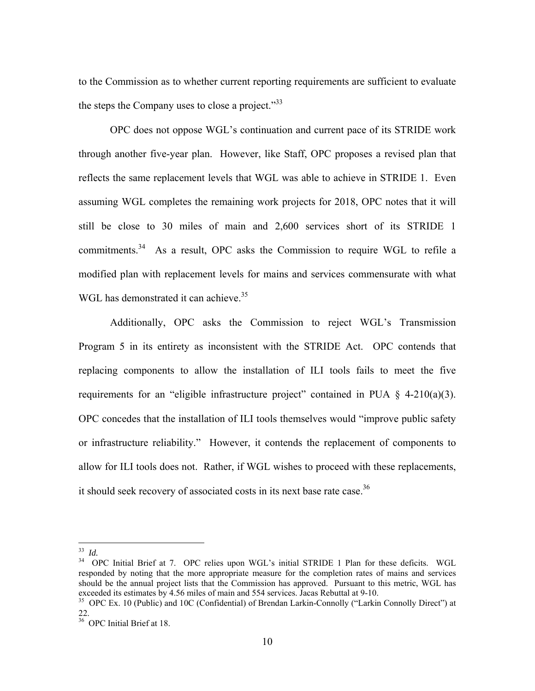to the Commission as to whether current reporting requirements are sufficient to evaluate the steps the Company uses to close a project. $^{33}$ 

 OPC does not oppose WGL's continuation and current pace of its STRIDE work through another five-year plan. However, like Staff, OPC proposes a revised plan that reflects the same replacement levels that WGL was able to achieve in STRIDE 1. Even assuming WGL completes the remaining work projects for 2018, OPC notes that it will still be close to 30 miles of main and 2,600 services short of its STRIDE 1 commitments.<sup>34</sup> As a result, OPC asks the Commission to require WGL to refile a modified plan with replacement levels for mains and services commensurate with what WGL has demonstrated it can achieve.<sup>35</sup>

 Additionally, OPC asks the Commission to reject WGL's Transmission Program 5 in its entirety as inconsistent with the STRIDE Act. OPC contends that replacing components to allow the installation of ILI tools fails to meet the five requirements for an "eligible infrastructure project" contained in PUA  $\S$  4-210(a)(3). OPC concedes that the installation of ILI tools themselves would "improve public safety or infrastructure reliability." However, it contends the replacement of components to allow for ILI tools does not. Rather, if WGL wishes to proceed with these replacements, it should seek recovery of associated costs in its next base rate case.<sup>36</sup>

<sup>33</sup> *Id.* 

<sup>&</sup>lt;sup>34</sup> OPC Initial Brief at 7. OPC relies upon WGL's initial STRIDE 1 Plan for these deficits. WGL responded by noting that the more appropriate measure for the completion rates of mains and services should be the annual project lists that the Commission has approved. Pursuant to this metric, WGL has exceeded its estimates by 4.56 miles of main and 554 services. Jacas Rebuttal at 9-10.

<sup>&</sup>lt;sup>35</sup> OPC Ex. 10 (Public) and 10C (Confidential) of Brendan Larkin-Connolly ("Larkin Connolly Direct") at 22.

<sup>36</sup> OPC Initial Brief at 18.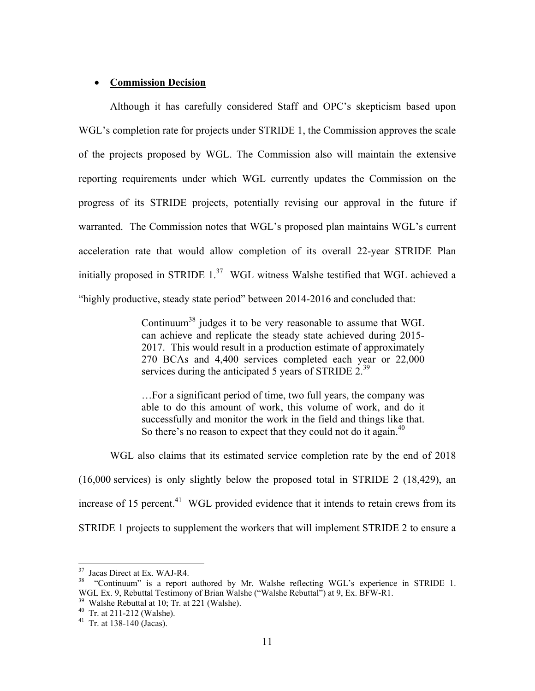## **Commission Decision**

 Although it has carefully considered Staff and OPC's skepticism based upon WGL's completion rate for projects under STRIDE 1, the Commission approves the scale of the projects proposed by WGL. The Commission also will maintain the extensive reporting requirements under which WGL currently updates the Commission on the progress of its STRIDE projects, potentially revising our approval in the future if warranted. The Commission notes that WGL's proposed plan maintains WGL's current acceleration rate that would allow completion of its overall 22-year STRIDE Plan initially proposed in STRIDE  $1<sup>37</sup>$  WGL witness Walshe testified that WGL achieved a "highly productive, steady state period" between 2014-2016 and concluded that:

> Continuum38 judges it to be very reasonable to assume that WGL can achieve and replicate the steady state achieved during 2015- 2017. This would result in a production estimate of approximately 270 BCAs and 4,400 services completed each year or 22,000 services during the anticipated 5 years of STRIDE  $2^{39}$ .

> …For a significant period of time, two full years, the company was able to do this amount of work, this volume of work, and do it successfully and monitor the work in the field and things like that. So there's no reason to expect that they could not do it again. $40$

 WGL also claims that its estimated service completion rate by the end of 2018 (16,000 services) is only slightly below the proposed total in STRIDE 2 (18,429), an increase of 15 percent.<sup>41</sup> WGL provided evidence that it intends to retain crews from its STRIDE 1 projects to supplement the workers that will implement STRIDE 2 to ensure a

<sup>&</sup>lt;sup>37</sup> Jacas Direct at Ex. WAJ-R4.

<sup>&</sup>lt;sup>38</sup> "Continuum" is a report authored by Mr. Walshe reflecting WGL's experience in STRIDE 1. WGL Ex. 9, Rebuttal Testimony of Brian Walshe ("Walshe Rebuttal") at 9, Ex. BFW-R1.

<sup>39</sup> Walshe Rebuttal at 10; Tr. at 221 (Walshe).

<sup>40</sup> Tr. at 211-212 (Walshe).

 $41$  Tr. at 138-140 (Jacas).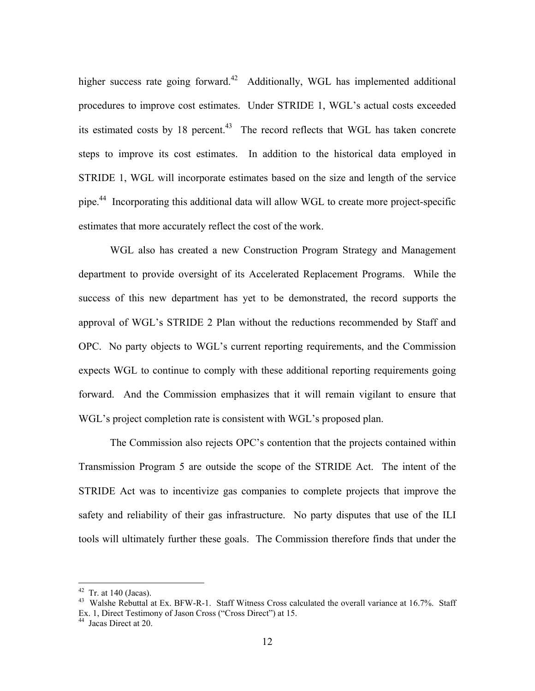higher success rate going forward.<sup>42</sup> Additionally, WGL has implemented additional procedures to improve cost estimates. Under STRIDE 1, WGL's actual costs exceeded its estimated costs by  $18$  percent.<sup>43</sup> The record reflects that WGL has taken concrete steps to improve its cost estimates. In addition to the historical data employed in STRIDE 1, WGL will incorporate estimates based on the size and length of the service pipe.<sup>44</sup> Incorporating this additional data will allow WGL to create more project-specific estimates that more accurately reflect the cost of the work.

 WGL also has created a new Construction Program Strategy and Management department to provide oversight of its Accelerated Replacement Programs. While the success of this new department has yet to be demonstrated, the record supports the approval of WGL's STRIDE 2 Plan without the reductions recommended by Staff and OPC. No party objects to WGL's current reporting requirements, and the Commission expects WGL to continue to comply with these additional reporting requirements going forward. And the Commission emphasizes that it will remain vigilant to ensure that WGL's project completion rate is consistent with WGL's proposed plan.

 The Commission also rejects OPC's contention that the projects contained within Transmission Program 5 are outside the scope of the STRIDE Act. The intent of the STRIDE Act was to incentivize gas companies to complete projects that improve the safety and reliability of their gas infrastructure. No party disputes that use of the ILI tools will ultimately further these goals. The Commission therefore finds that under the

 $42$  Tr. at 140 (Jacas).

<sup>&</sup>lt;sup>43</sup> Walshe Rebuttal at Ex. BFW-R-1. Staff Witness Cross calculated the overall variance at 16.7%. Staff Ex. 1, Direct Testimony of Jason Cross ("Cross Direct") at 15. 44 Jacas Direct at 20.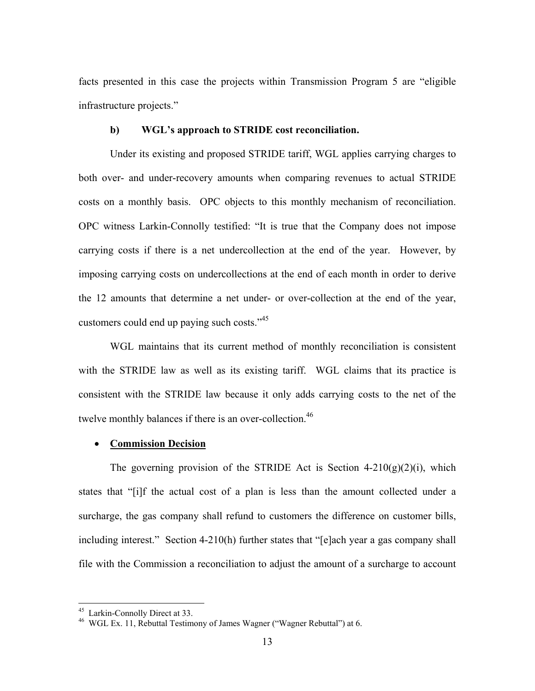facts presented in this case the projects within Transmission Program 5 are "eligible infrastructure projects."

## **b) WGL's approach to STRIDE cost reconciliation.**

 Under its existing and proposed STRIDE tariff, WGL applies carrying charges to both over- and under-recovery amounts when comparing revenues to actual STRIDE costs on a monthly basis. OPC objects to this monthly mechanism of reconciliation. OPC witness Larkin-Connolly testified: "It is true that the Company does not impose carrying costs if there is a net undercollection at the end of the year. However, by imposing carrying costs on undercollections at the end of each month in order to derive the 12 amounts that determine a net under- or over-collection at the end of the year, customers could end up paying such costs."<sup>45</sup>

 WGL maintains that its current method of monthly reconciliation is consistent with the STRIDE law as well as its existing tariff. WGL claims that its practice is consistent with the STRIDE law because it only adds carrying costs to the net of the twelve monthly balances if there is an over-collection.<sup>46</sup>

## **Commission Decision**

The governing provision of the STRIDE Act is Section  $4-210(g)(2)(i)$ , which states that "[i]f the actual cost of a plan is less than the amount collected under a surcharge, the gas company shall refund to customers the difference on customer bills, including interest." Section 4-210(h) further states that "[e]ach year a gas company shall file with the Commission a reconciliation to adjust the amount of a surcharge to account

<sup>45</sup> Larkin-Connolly Direct at 33.

<sup>46</sup> WGL Ex. 11, Rebuttal Testimony of James Wagner ("Wagner Rebuttal") at 6.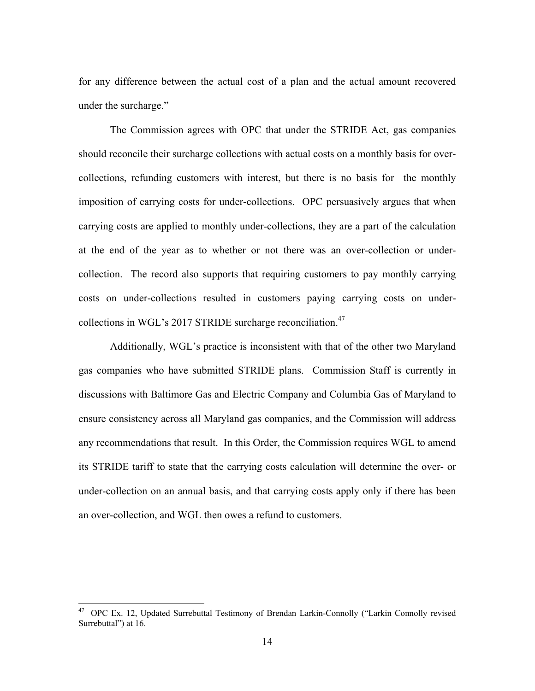for any difference between the actual cost of a plan and the actual amount recovered under the surcharge."

 The Commission agrees with OPC that under the STRIDE Act, gas companies should reconcile their surcharge collections with actual costs on a monthly basis for overcollections, refunding customers with interest, but there is no basis for the monthly imposition of carrying costs for under-collections. OPC persuasively argues that when carrying costs are applied to monthly under-collections, they are a part of the calculation at the end of the year as to whether or not there was an over-collection or undercollection. The record also supports that requiring customers to pay monthly carrying costs on under-collections resulted in customers paying carrying costs on undercollections in WGL's 2017 STRIDE surcharge reconciliation.<sup>47</sup>

 Additionally, WGL's practice is inconsistent with that of the other two Maryland gas companies who have submitted STRIDE plans. Commission Staff is currently in discussions with Baltimore Gas and Electric Company and Columbia Gas of Maryland to ensure consistency across all Maryland gas companies, and the Commission will address any recommendations that result. In this Order, the Commission requires WGL to amend its STRIDE tariff to state that the carrying costs calculation will determine the over- or under-collection on an annual basis, and that carrying costs apply only if there has been an over-collection, and WGL then owes a refund to customers.

<sup>&</sup>lt;sup>47</sup> OPC Ex. 12, Updated Surrebuttal Testimony of Brendan Larkin-Connolly ("Larkin Connolly revised Surrebuttal") at 16.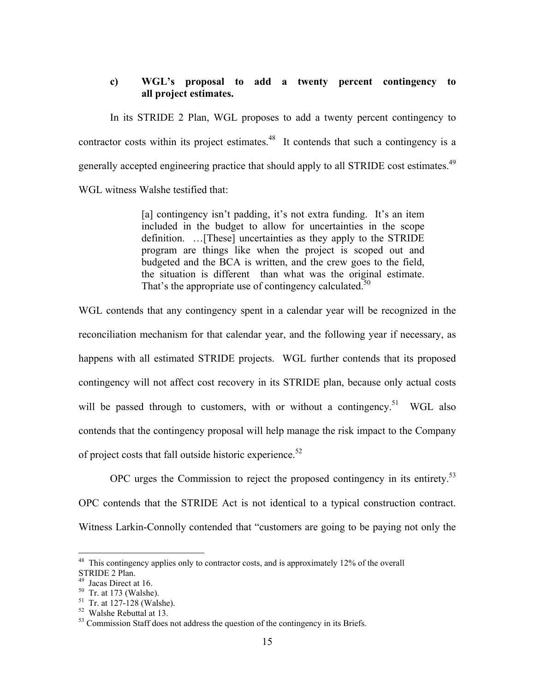# **c) WGL's proposal to add a twenty percent contingency to all project estimates.**

 In its STRIDE 2 Plan, WGL proposes to add a twenty percent contingency to contractor costs within its project estimates.<sup>48</sup> It contends that such a contingency is a generally accepted engineering practice that should apply to all STRIDE cost estimates.<sup>49</sup> WGL witness Walshe testified that:

> [a] contingency isn't padding, it's not extra funding. It's an item included in the budget to allow for uncertainties in the scope definition. …[These] uncertainties as they apply to the STRIDE program are things like when the project is scoped out and budgeted and the BCA is written, and the crew goes to the field, the situation is different than what was the original estimate. That's the appropriate use of contingency calculated.<sup>50</sup>

WGL contends that any contingency spent in a calendar year will be recognized in the reconciliation mechanism for that calendar year, and the following year if necessary, as happens with all estimated STRIDE projects. WGL further contends that its proposed contingency will not affect cost recovery in its STRIDE plan, because only actual costs will be passed through to customers, with or without a contingency.<sup>51</sup> WGL also contends that the contingency proposal will help manage the risk impact to the Company of project costs that fall outside historic experience. $52$ 

OPC urges the Commission to reject the proposed contingency in its entirety.<sup>53</sup> OPC contends that the STRIDE Act is not identical to a typical construction contract. Witness Larkin-Connolly contended that "customers are going to be paying not only the

<u>.</u>

 $48$  This contingency applies only to contractor costs, and is approximately 12% of the overall

STRIDE 2 Plan.

<sup>49</sup> Jacas Direct at 16.

 $50$  Tr. at 173 (Walshe).

 $51$  Tr. at 127-128 (Walshe).

<sup>52</sup> Walshe Rebuttal at 13.

<sup>&</sup>lt;sup>53</sup> Commission Staff does not address the question of the contingency in its Briefs.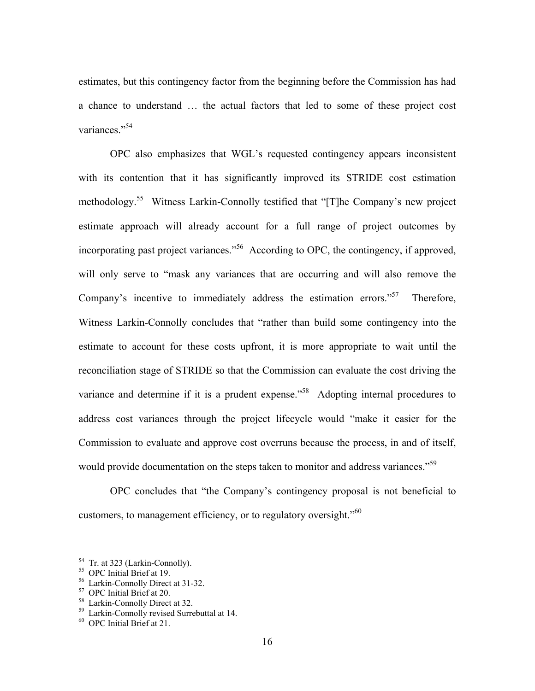estimates, but this contingency factor from the beginning before the Commission has had a chance to understand … the actual factors that led to some of these project cost variances."<sup>54</sup>

 OPC also emphasizes that WGL's requested contingency appears inconsistent with its contention that it has significantly improved its STRIDE cost estimation methodology.<sup>55</sup> Witness Larkin-Connolly testified that "[T]he Company's new project estimate approach will already account for a full range of project outcomes by incorporating past project variances."<sup>56</sup> According to OPC, the contingency, if approved, will only serve to "mask any variances that are occurring and will also remove the Company's incentive to immediately address the estimation errors."<sup>57</sup> Therefore, Witness Larkin-Connolly concludes that "rather than build some contingency into the estimate to account for these costs upfront, it is more appropriate to wait until the reconciliation stage of STRIDE so that the Commission can evaluate the cost driving the variance and determine if it is a prudent expense."<sup>58</sup> Adopting internal procedures to address cost variances through the project lifecycle would "make it easier for the Commission to evaluate and approve cost overruns because the process, in and of itself, would provide documentation on the steps taken to monitor and address variances."<sup>59</sup>

 OPC concludes that "the Company's contingency proposal is not beneficial to customers, to management efficiency, or to regulatory oversight."<sup>60</sup>

<u>.</u>

<sup>&</sup>lt;sup>54</sup> Tr. at 323 (Larkin-Connolly).

<sup>55</sup> OPC Initial Brief at 19.

<sup>56</sup> Larkin-Connolly Direct at 31-32.

<sup>57</sup> OPC Initial Brief at 20.

<sup>58</sup> Larkin-Connolly Direct at 32.

<sup>&</sup>lt;sup>59</sup> Larkin-Connolly revised Surrebuttal at 14.

<sup>60</sup> OPC Initial Brief at 21.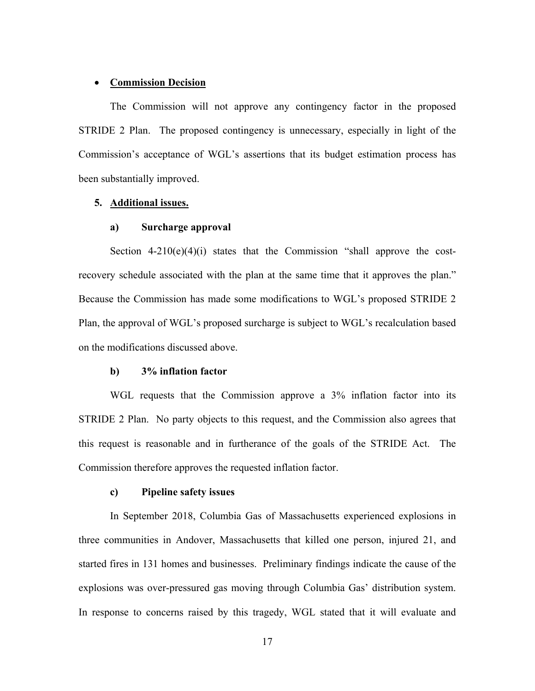#### **Commission Decision**

 The Commission will not approve any contingency factor in the proposed STRIDE 2 Plan. The proposed contingency is unnecessary, especially in light of the Commission's acceptance of WGL's assertions that its budget estimation process has been substantially improved.

#### **5. Additional issues.**

## **a) Surcharge approval**

Section  $4-210(e)(4)(i)$  states that the Commission "shall approve the costrecovery schedule associated with the plan at the same time that it approves the plan." Because the Commission has made some modifications to WGL's proposed STRIDE 2 Plan, the approval of WGL's proposed surcharge is subject to WGL's recalculation based on the modifications discussed above.

#### **b) 3% inflation factor**

 WGL requests that the Commission approve a 3% inflation factor into its STRIDE 2 Plan. No party objects to this request, and the Commission also agrees that this request is reasonable and in furtherance of the goals of the STRIDE Act. The Commission therefore approves the requested inflation factor.

#### **c) Pipeline safety issues**

 In September 2018, Columbia Gas of Massachusetts experienced explosions in three communities in Andover, Massachusetts that killed one person, injured 21, and started fires in 131 homes and businesses. Preliminary findings indicate the cause of the explosions was over-pressured gas moving through Columbia Gas' distribution system. In response to concerns raised by this tragedy, WGL stated that it will evaluate and